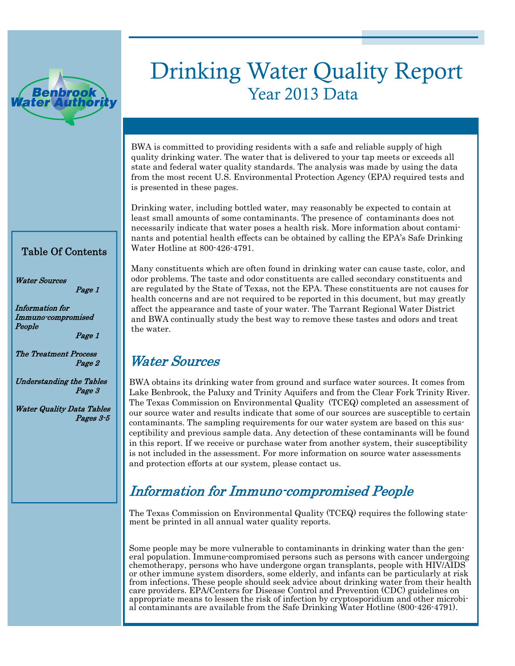

## Drinking Water Quality Report Year 2013 Data

BWA is committed to providing residents with a safe and reliable supply of high quality drinking water. The water that is delivered to your tap meets or exceeds all state and federal water quality standards. The analysis was made by using the data from the most recent U.S. Environmental Protection Agency (EPA) required tests and is presented in these pages.

Drinking water, including bottled water, may reasonably be expected to contain at least small amounts of some contaminants. The presence of contaminants does not necessarily indicate that water poses a health risk. More information about contaminants and potential health effects can be obtained by calling the EPA's Safe Drinking Water Hotline at 800-426-4791.

#### Table Of Contents

Water Sources

Information for Immuno-compromised People

Page 1

Page 1

The Treatment Process Page 2

Understanding the Tables Page 3

Water Quality Data Tables Pages 3-5 Many constituents which are often found in drinking water can cause taste, color, and odor problems. The taste and odor constituents are called secondary constituents and are regulated by the State of Texas, not the EPA. These constituents are not causes for health concerns and are not required to be reported in this document, but may greatly affect the appearance and taste of your water. The Tarrant Regional Water District and BWA continually study the best way to remove these tastes and odors and treat the water.

## Water Sources

BWA obtains its drinking water from ground and surface water sources. It comes from Lake Benbrook, the Paluxy and Trinity Aquifers and from the Clear Fork Trinity River. The Texas Commission on Environmental Quality (TCEQ) completed an assessment of our source water and results indicate that some of our sources are susceptible to certain contaminants. The sampling requirements for our water system are based on this susceptibility and previous sample data. Any detection of these contaminants will be found in this report. If we receive or purchase water from another system, their susceptibility is not included in the assessment. For more information on source water assessments and protection efforts at our system, please contact us.

## Information for Immuno-compromised People

The Texas Commission on Environmental Quality (TCEQ) requires the following statement be printed in all annual water quality reports.

Some people may be more vulnerable to contaminants in drinking water than the general population. Immune-compromised persons such as persons with cancer undergoing chemotherapy, persons who have undergone organ transplants, people with HIV/AIDS or other immune system disorders, some elderly, and infants can be particularly at risk from infections. These people should seek advice about drinking water from their health care providers. EPA/Centers for Disease Control and Prevention (CDC) guidelines on appropriate means to lessen the risk of infection by cryptosporidium and other microbial contaminants are available from the Safe Drinking Water Hotline (800-426-4791).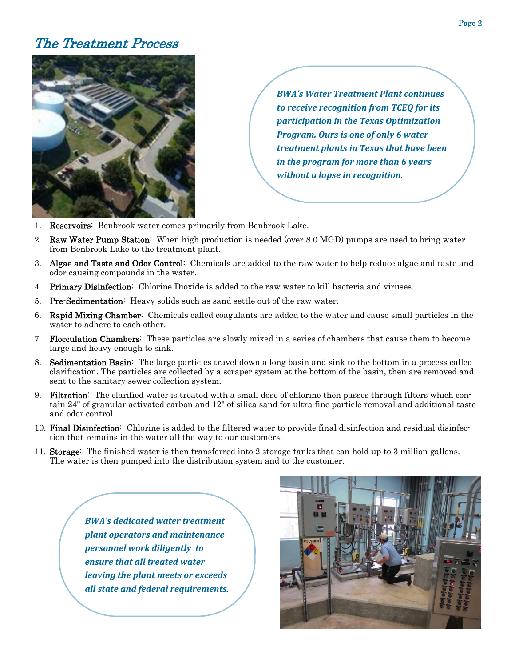### The Treatment Process



*BWA's Water Treatment Plant continues to receive recognition from TCEQ for its participation in the Texas Optimization Program. Ours is one of only 6 water treatment plants in Texas that have been in the program for more than 6 years without a lapse in recognition.*

- 1. Reservoirs: Benbrook water comes primarily from Benbrook Lake.
- 2. Raw Water Pump Station: When high production is needed (over 8.0 MGD) pumps are used to bring water from Benbrook Lake to the treatment plant.
- 3. Algae and Taste and Odor Control: Chemicals are added to the raw water to help reduce algae and taste and odor causing compounds in the water.
- 4. Primary Disinfection: Chlorine Dioxide is added to the raw water to kill bacteria and viruses.
- 5. Pre-Sedimentation: Heavy solids such as sand settle out of the raw water.
- 6. Rapid Mixing Chamber: Chemicals called coagulants are added to the water and cause small particles in the water to adhere to each other.
- 7. Flocculation Chambers: These particles are slowly mixed in a series of chambers that cause them to become large and heavy enough to sink.
- 8. Sedimentation Basin: The large particles travel down a long basin and sink to the bottom in a process called clarification. The particles are collected by a scraper system at the bottom of the basin, then are removed and sent to the sanitary sewer collection system.
- 9. Filtration: The clarified water is treated with a small dose of chlorine then passes through filters which contain 24" of granular activated carbon and 12" of silica sand for ultra fine particle removal and additional taste and odor control.
- 10. Final Disinfection: Chlorine is added to the filtered water to provide final disinfection and residual disinfection that remains in the water all the way to our customers.
- 11. Storage: The finished water is then transferred into 2 storage tanks that can hold up to 3 million gallons. The water is then pumped into the distribution system and to the customer.

*BWA's dedicated water treatment plant operators and maintenance personnel work diligently to ensure that all treated water leaving the plant meets or exceeds all state and federal requirements.*

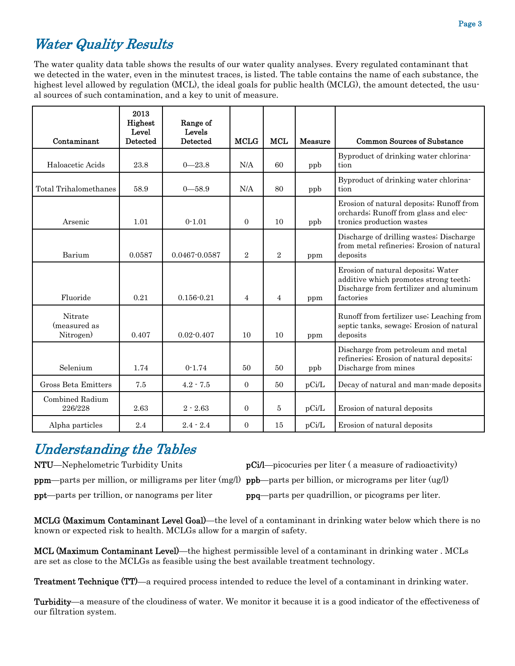## Water Quality Results

The water quality data table shows the results of our water quality analyses. Every regulated contaminant that we detected in the water, even in the minutest traces, is listed. The table contains the name of each substance, the highest level allowed by regulation (MCL), the ideal goals for public health (MCLG), the amount detected, the usual sources of such contamination, and a key to unit of measure.

|                                      | 2013<br>Highest<br>Level | Range of<br>Levels |                |                |         |                                                                                                                                    |
|--------------------------------------|--------------------------|--------------------|----------------|----------------|---------|------------------------------------------------------------------------------------------------------------------------------------|
| Contaminant                          | <b>Detected</b>          | Detected           | <b>MCLG</b>    | <b>MCL</b>     | Measure | Common Sources of Substance                                                                                                        |
| Haloacetic Acids                     | 23.8                     | $0 - 23.8$         | N/A            | 60             | ppb     | Byproduct of drinking water chlorina-<br>tion                                                                                      |
| Total Trihalomethanes                | 58.9                     | $0 - 58.9$         | N/A            | 80             | ppb     | Byproduct of drinking water chlorina-<br>tion                                                                                      |
| Arsenic                              | 1.01                     | $0-1.01$           | $\overline{0}$ | 10             | ppb     | Erosion of natural deposits; Runoff from<br>orchards; Runoff from glass and elec-<br>tronics production wastes                     |
| Barium                               | 0.0587                   | 0.0467-0.0587      | $\overline{2}$ | $\overline{2}$ | ppm     | Discharge of drilling wastes; Discharge<br>from metal refineries; Erosion of natural<br>deposits                                   |
| Fluoride                             | 0.21                     | $0.156 - 0.21$     | 4              | $\overline{4}$ | ppm     | Erosion of natural deposits; Water<br>additive which promotes strong teeth;<br>Discharge from fertilizer and aluminum<br>factories |
| Nitrate<br>(measured as<br>Nitrogen) | 0.407                    | $0.02 - 0.407$     | 10             | 10             | ppm     | Runoff from fertilizer use; Leaching from<br>septic tanks, sewage; Erosion of natural<br>deposits                                  |
| Selenium                             | 1.74                     | $0-1.74$           | 50             | 50             | ppb     | Discharge from petroleum and metal<br>refineries; Erosion of natural deposits;<br>Discharge from mines                             |
| Gross Beta Emitters                  | 7.5                      | $4.2 - 7.5$        | $\Omega$       | 50             | pCi/L   | Decay of natural and man-made deposits                                                                                             |
| Combined Radium<br>226/228           | 2.63                     | $2 - 2.63$         | $\mathbf{0}$   | $\overline{5}$ | pCi/L   | Erosion of natural deposits                                                                                                        |
| Alpha particles                      | 2.4                      | $2.4 - 2.4$        | $\overline{0}$ | 15             | pCi/L   | Erosion of natural deposits                                                                                                        |

## Understanding the Tables

NTU—Nephelometric Turbidity Units pCi/l—picocuries per liter (a measure of radioactivity)

ppm—parts per million, or milligrams per liter (mg/l) ppb—parts per billion, or micrograms per liter (ug/l)

ppt—parts per trillion, or nanograms per liter ppq—parts per quadrillion, or picograms per liter.

MCLG (Maximum Contaminant Level Goal)—the level of a contaminant in drinking water below which there is no known or expected risk to health. MCLGs allow for a margin of safety.

MCL (Maximum Contaminant Level)—the highest permissible level of a contaminant in drinking water . MCLs are set as close to the MCLGs as feasible using the best available treatment technology.

**Treatment Technique (TT)**—a required process intended to reduce the level of a contaminant in drinking water.

Turbidity—a measure of the cloudiness of water. We monitor it because it is a good indicator of the effectiveness of our filtration system.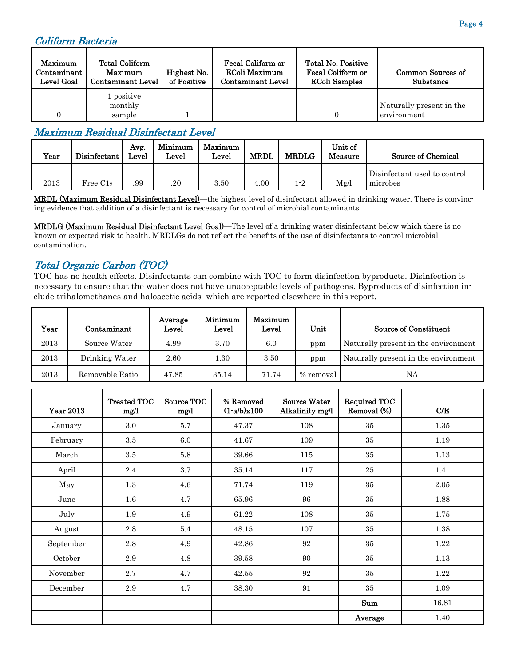#### Coliform Bacteria

| Maximum<br>Contaminant  <br>Level Goal | <b>Total Coliform</b><br>Maximum<br><b>Contaminant Level</b> | Highest No.<br>of Positive | Fecal Coliform or<br>EColi Maximum<br><b>Contaminant Level</b> | Total No. Positive<br>Fecal Coliform or<br><b>EColi Samples</b> | Common Sources of<br>Substance          |
|----------------------------------------|--------------------------------------------------------------|----------------------------|----------------------------------------------------------------|-----------------------------------------------------------------|-----------------------------------------|
|                                        | l positive<br>monthly<br>sample                              |                            |                                                                |                                                                 | Naturally present in the<br>environment |

#### Maximum Residual Disinfectant Level

| Year | Disinfectant | Avg.<br>Level | Minimum<br>Level | Maximum<br>Level | <b>MRDL</b> | <b>MRDLG</b> | Unit of<br>Measure | <b>Source of Chemical</b>                |
|------|--------------|---------------|------------------|------------------|-------------|--------------|--------------------|------------------------------------------|
| 2013 | Free $C12$   | .99           | .20              | 3.50             | 4.00        | 1-2          | Mg/l               | Disinfectant used to control<br>microbes |

MRDL (Maximum Residual Disinfectant Level)—the highest level of disinfectant allowed in drinking water. There is convincing evidence that addition of a disinfectant is necessary for control of microbial contaminants.

MRDLG (Maximum Residual Disinfectant Level Goal)—The level of a drinking water disinfectant below which there is no known or expected risk to health. MRDLGs do not reflect the benefits of the use of disinfectants to control microbial contamination.

#### Total Organic Carbon (TOC)

TOC has no health effects. Disinfectants can combine with TOC to form disinfection byproducts. Disinfection is necessary to ensure that the water does not have unacceptable levels of pathogens. Byproducts of disinfection include trihalomethanes and haloacetic acids which are reported elsewhere in this report.

| Year | Contaminant     | Average<br>Level | Minimum<br>Level | Maximum<br>Level | Unit      | Source of Constituent                |
|------|-----------------|------------------|------------------|------------------|-----------|--------------------------------------|
| 2013 | Source Water    | 4.99             | 3.70             | 6.0              | ppm       | Naturally present in the environment |
| 2013 | Drinking Water  | 2.60             | 30               | 3.50             | ppm       | Naturally present in the environment |
| 2013 | Removable Ratio | 47.85            | 35.14            | 71.74            | % removal | NA                                   |

| <b>Year 2013</b> | <b>Treated TOC</b><br>mg/l | Source TOC<br>mg/l | % Removed<br>$(1-a/b)x100$ | <b>Source Water</b><br>Alkalinity mg/l | <b>Required TOC</b><br>Removal (%) | C/E   |
|------------------|----------------------------|--------------------|----------------------------|----------------------------------------|------------------------------------|-------|
| January          | $3.0\,$                    | 5.7                | 47.37                      | 108                                    | 35                                 | 1.35  |
| February         | 3.5                        | 6.0                | 41.67                      | 109                                    | 35                                 | 1.19  |
| March            | $3.5\,$                    | 5.8                | 39.66                      | 115                                    | $35\,$                             | 1.13  |
| April            | 2.4                        | 3.7                | 35.14                      | 117                                    | $25\,$                             | 1.41  |
| May              | 1.3                        | 4.6                | 71.74                      | 119                                    | 35                                 | 2.05  |
| June             | 1.6                        | 4.7                | 65.96                      | 96                                     | 35                                 | 1.88  |
| July             | 1.9                        | 4.9                | 61.22                      | 108                                    | $35\,$                             | 1.75  |
| August           | $2.8\,$                    | 5.4                | 48.15                      | 107                                    | 35                                 | 1.38  |
| September        | $2.8\,$                    | 4.9                | 42.86                      | $\boldsymbol{92}$                      | 35                                 | 1.22  |
| October          | 2.9                        | 4.8                | 39.58                      | 90                                     | 35                                 | 1.13  |
| November         | 2.7                        | 4.7                | 42.55                      | 92                                     | 35                                 | 1.22  |
| December         | 2.9                        | 4.7                | 38.30                      | 91                                     | 35                                 | 1.09  |
|                  |                            |                    |                            |                                        | Sum                                | 16.81 |
|                  |                            |                    |                            |                                        | Average                            | 1.40  |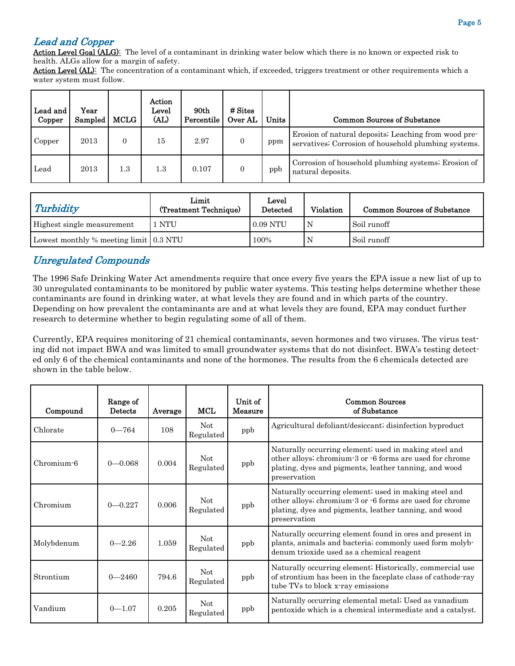#### Lead and Copper

Action Level Goal (ALG): The level of a contaminant in drinking water below which there is no known or expected risk to health. ALGs allow for a margin of safety.

Action Level (AL): The concentration of a contaminant which, if exceeded, triggers treatment or other requirements which a water system must follow.

| Lead and<br>Copper | Year<br>Sampled | <b>MCLG</b> | Action<br>Level<br>(AL) | 90th<br>Percentile | $#$ Sites<br>Over AL | Units | <b>Common Sources of Substance</b>                                                                           |
|--------------------|-----------------|-------------|-------------------------|--------------------|----------------------|-------|--------------------------------------------------------------------------------------------------------------|
| Copper             | 2013            | $\Omega$    | 15                      | 2.97               |                      | ppm   | Erosion of natural deposits; Leaching from wood pre-<br>servatives; Corrosion of household plumbing systems. |
| Lead               | 2013            | 1.3         | 1.3                     | 0.107              |                      | ppb   | Corrosion of household plumbing systems; Erosion of<br>natural deposits.                                     |

| Turbidity                              | Limit<br>(Treatment Technique) | Level<br>Detected | <b>Violation</b> | <b>Common Sources of Substance</b> |
|----------------------------------------|--------------------------------|-------------------|------------------|------------------------------------|
| Highest single measurement             | NTU                            | $0.09$ NTU        |                  | Soil runoff                        |
| Lowest monthly % meeting limit 0.3 NTU |                                | 100%              |                  | Soil runoff                        |

#### Unregulated Compounds

The 1996 Safe Drinking Water Act amendments require that once every five years the EPA issue a new list of up to 30 unregulated contaminants to be monitored by public water systems. This testing helps determine whether these contaminants are found in drinking water, at what levels they are found and in which parts of the country. Depending on how prevalent the contaminants are and at what levels they are found, EPA may conduct further research to determine whether to begin regulating some of all of them.

Currently, EPA requires monitoring of 21 chemical contaminants, seven hormones and two viruses. The virus testing did not impact BWA and was limited to small groundwater systems that do not disinfect. BWA's testing detected only 6 of the chemical contaminants and none of the hormones. The results from the 6 chemicals detected are shown in the table below.

| Compound   | Range of<br><b>Detects</b> | Average | <b>MCL</b>              | Unit of<br>Measure | <b>Common Sources</b><br>of Substance                                                                                                                                                      |
|------------|----------------------------|---------|-------------------------|--------------------|--------------------------------------------------------------------------------------------------------------------------------------------------------------------------------------------|
| Chlorate   | $0 - 764$                  | 108     | <b>Not</b><br>Regulated | ppb                | Agricultural defoliant/desiccant; disinfection byproduct                                                                                                                                   |
| Chromium-6 | $0 - 0.068$                | 0.004   | <b>Not</b><br>Regulated | ppb                | Naturally occurring element; used in making steel and<br>other alloys; chromium-3 or -6 forms are used for chrome<br>plating, dyes and pigments, leather tanning, and wood<br>preservation |
| Chromium   | $0 - 0.227$                | 0.006   | Not<br>Regulated        | ppb                | Naturally occurring element, used in making steel and<br>other alloys; chromium-3 or -6 forms are used for chrome<br>plating, dyes and pigments, leather tanning, and wood<br>preservation |
| Molybdenum | $0 - 2.26$                 | 1.059   | Not<br>Regulated        | ppb                | Naturally occurring element found in ores and present in<br>plants, animals and bacteria; commonly used form molyb-<br>denum trioxide used as a chemical reagent                           |
| Strontium  | $0 - 2460$                 | 794.6   | <b>Not</b><br>Regulated | ppb                | Naturally occurring element; Historically, commercial use<br>of strontium has been in the faceplate class of cathode-ray<br>tube TVs to block x-ray emissions                              |
| Vandium    | $0 - 1.07$                 | 0.205   | <b>Not</b><br>Regulated | ppb                | Naturally occurring elemental metal; Used as vanadium<br>pentoxide which is a chemical intermediate and a catalyst.                                                                        |